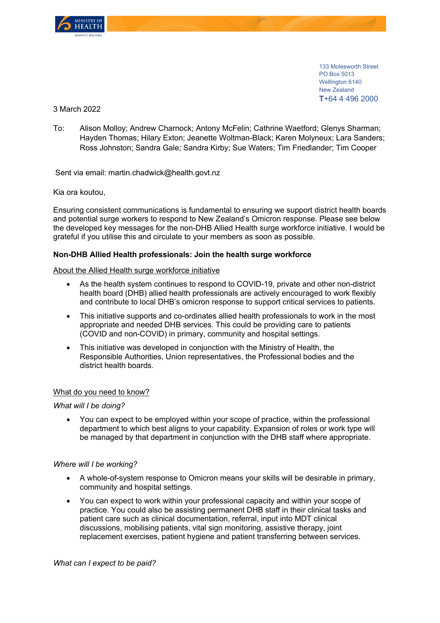

133 Molesworth Street PO Box 5013 Wellington 6140 New Zealand **T**+64 4 496 2000

3 March 2022

To: Alison Molloy; Andrew Charnock; Antony McFelin; Cathrine Waetford; Glenys Sharman; Hayden Thomas; Hilary Exton; Jeanette Woltman-Black; Karen Molyneux; Lara Sanders; Ross Johnston; Sandra Gale; Sandra Kirby; Sue Waters; Tim Friedlander; Tim Cooper

Sent via email: martin.chadwick@health.govt.nz

Kia ora koutou,

Ensuring consistent communications is fundamental to ensuring we support district health boards and potential surge workers to respond to New Zealand's Omicron response. Please see below the developed key messages for the non-DHB Allied Health surge workforce initiative. I would be grateful if you utilise this and circulate to your members as soon as possible.

# **Non-DHB Allied Health professionals: Join the health surge workforce**

#### About the Allied Health surge workforce initiative

- As the health system continues to respond to COVID-19, private and other non-district health board (DHB) allied health professionals are actively encouraged to work flexibly and contribute to local DHB's omicron response to support critical services to patients.
- This initiative supports and co-ordinates allied health professionals to work in the most appropriate and needed DHB services. This could be providing care to patients (COVID and non-COVID) in primary, community and hospital settings.
- This initiative was developed in conjunction with the Ministry of Health, the Responsible Authorities, Union representatives, the Professional bodies and the district health boards.

### What do you need to know?

*What will I be doing?* 

• You can expect to be employed within your scope of practice, within the professional department to which best aligns to your capability. Expansion of roles or work type will be managed by that department in conjunction with the DHB staff where appropriate.

### *Where will I be working?*

- A whole-of-system response to Omicron means your skills will be desirable in primary, community and hospital settings.
- You can expect to work within your professional capacity and within your scope of practice. You could also be assisting permanent DHB staff in their clinical tasks and patient care such as clinical documentation, referral, input into MDT clinical discussions, mobilising patients, vital sign monitoring, assistive therapy, joint replacement exercises, patient hygiene and patient transferring between services.